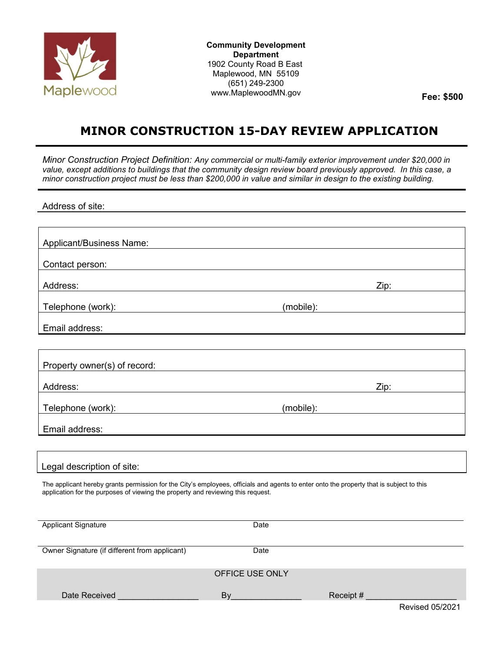

**Community Development Department**  1902 County Road B East Maplewood, MN 55109 (651) 249-2300 www.MaplewoodMN.gov **Fee: \$500**

## **MINOR CONSTRUCTION 15-DAY REVIEW APPLICATION**

*Minor Construction Project Definition: Any commercial or multi-family exterior improvement under \$20,000 in value, except additions to buildings that the community design review board previously approved. In this case, a minor construction project must be less than \$200,000 in value and similar in design to the existing building.* 

Address of site:

| Applicant/Business Name:                                                                                                                                                                                                     |           |                                                                                                                                                                                                                                |
|------------------------------------------------------------------------------------------------------------------------------------------------------------------------------------------------------------------------------|-----------|--------------------------------------------------------------------------------------------------------------------------------------------------------------------------------------------------------------------------------|
| Contact person:<br><u> 1989 - Andrea Andrew Maria (h. 1989).</u>                                                                                                                                                             |           |                                                                                                                                                                                                                                |
| Address:<br>and the control of the control of the control of the control of the control of the control of the control of the                                                                                                 |           | Zip: the contract of the contract of the contract of the contract of the contract of the contract of the contract of the contract of the contract of the contract of the contract of the contract of the contract of the contr |
| Telephone (work): www.advia.com/www.advia.com/www.advia.com/www.advia.com/                                                                                                                                                   |           | (mobile):                                                                                                                                                                                                                      |
| Email address:                                                                                                                                                                                                               |           | <u> 1989 - Jan Salaman Salaman (j. 1989)</u>                                                                                                                                                                                   |
|                                                                                                                                                                                                                              |           |                                                                                                                                                                                                                                |
| Property owner(s) of record:                                                                                                                                                                                                 |           | <u> 1989 - Johann Harry Communication (b. 1989)</u>                                                                                                                                                                            |
| Address:                                                                                                                                                                                                                     |           | Zip: and the state of the state of the state of the state of the state of the state of the state of the state                                                                                                                  |
| Telephone (work): www.adview.com/www.adview.com/www.adview.com/                                                                                                                                                              |           |                                                                                                                                                                                                                                |
| Email address:                                                                                                                                                                                                               |           | and the control of the control of the control of the control of the control of the control of the control of the                                                                                                               |
|                                                                                                                                                                                                                              |           |                                                                                                                                                                                                                                |
| Legal description of site:                                                                                                                                                                                                   |           |                                                                                                                                                                                                                                |
| The applicant hereby grants permission for the City's employees, officials and agents to enter onto the property that is subject to this<br>application for the purposes of viewing the property and reviewing this request. |           |                                                                                                                                                                                                                                |
| <b>Applicant Signature</b>                                                                                                                                                                                                   | Date      |                                                                                                                                                                                                                                |
| Owner Signature (if different from applicant)                                                                                                                                                                                | Date      |                                                                                                                                                                                                                                |
|                                                                                                                                                                                                                              |           |                                                                                                                                                                                                                                |
| OFFICE USE ONLY                                                                                                                                                                                                              |           |                                                                                                                                                                                                                                |
| Date Received                                                                                                                                                                                                                | <b>By</b> | Receipt #                                                                                                                                                                                                                      |
|                                                                                                                                                                                                                              |           | <b>Revised 05/2021</b>                                                                                                                                                                                                         |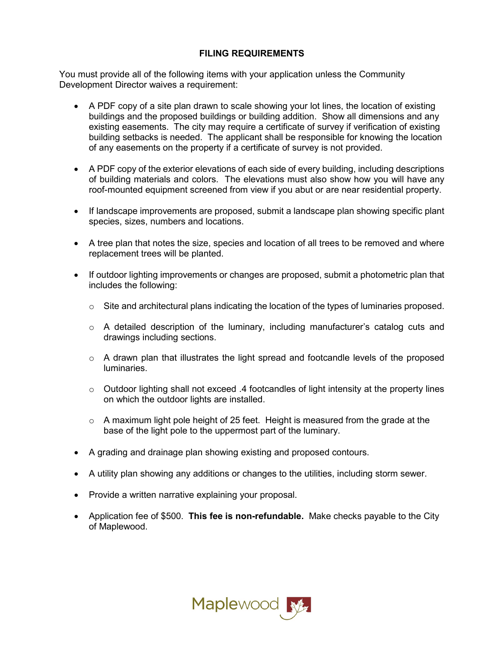## **FILING REQUIREMENTS**

You must provide all of the following items with your application unless the Community Development Director waives a requirement:

- A PDF copy of a site plan drawn to scale showing your lot lines, the location of existing buildings and the proposed buildings or building addition. Show all dimensions and any existing easements. The city may require a certificate of survey if verification of existing building setbacks is needed. The applicant shall be responsible for knowing the location of any easements on the property if a certificate of survey is not provided.
- A PDF copy of the exterior elevations of each side of every building, including descriptions of building materials and colors. The elevations must also show how you will have any roof-mounted equipment screened from view if you abut or are near residential property.
- If landscape improvements are proposed, submit a landscape plan showing specific plant species, sizes, numbers and locations.
- A tree plan that notes the size, species and location of all trees to be removed and where replacement trees will be planted.
- If outdoor lighting improvements or changes are proposed, submit a photometric plan that includes the following:
	- $\circ$  Site and architectural plans indicating the location of the types of luminaries proposed.
	- $\circ$  A detailed description of the luminary, including manufacturer's catalog cuts and drawings including sections.
	- $\circ$  A drawn plan that illustrates the light spread and footcandle levels of the proposed luminaries.
	- o Outdoor lighting shall not exceed .4 footcandles of light intensity at the property lines on which the outdoor lights are installed.
	- $\circ$  A maximum light pole height of 25 feet. Height is measured from the grade at the base of the light pole to the uppermost part of the luminary.
- A grading and drainage plan showing existing and proposed contours.
- A utility plan showing any additions or changes to the utilities, including storm sewer.
- Provide a written narrative explaining your proposal.
- Application fee of \$500. **This fee is non-refundable.** Make checks payable to the City of Maplewood.